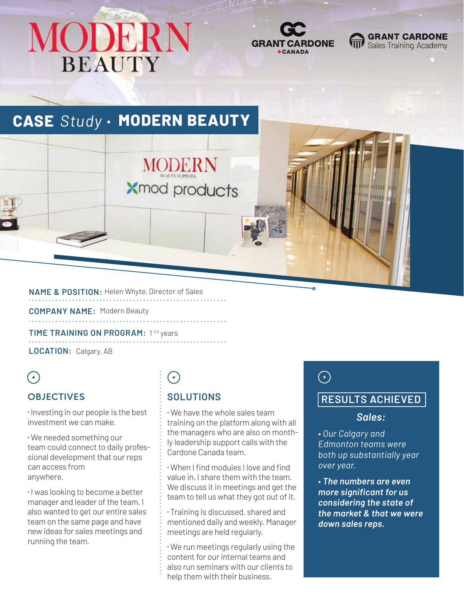# MODERN **BEAUTY**



**GRANT CARDONE** Sales Training Academy

## **CASE** *Study* **MODERN BEAUTY**

**NAME & POSITION:** Helen Whyte, Director of Sales

**COMPANY NAME:** Modern Beauty

**TIME TRAINING ON PROGRAM:** 1<sup>1/2</sup> years **LOCATION:** Calgary, AB

### $\bigodot$

#### **OBJECTIVES**

⁌ Investing in our people is the best investment we can make.

⁌ We needed something our team could connect to daily professional development that our reps can access from anywhere.

⁌ I was looking to become a better manager and leader of the team. I also wanted to get our entire sales team on the same page and have new ideas for sales meetings and running the team.

## $(+)$

**MODERN** 

**Xmod products** 

#### **SOLUTIONS**

⁌ We have the whole sales team training on the platform along with all the managers who are also on monthly leadership support calls with the Cardone Canada team.

⁌ When I find modules I love and find value in, I share them with the team. We discuss it in meetings and get the team to tell us what they got out of it.

⁌ Training is discussed, shared and mentioned daily and weekly. Manager meetings are held regularly.

⁌ We run meetings regularly using the content for our internal teams and also run seminars with our clients to help them with their business.

### $\bigodot$

#### **RESULTS ACHIEVED**

#### *Sales:*

*• Our Calgary and Edmonton teams were both up substantially year over year.*

*• The numbers are even more significant for us considering the state of the market & that we were down sales reps.*